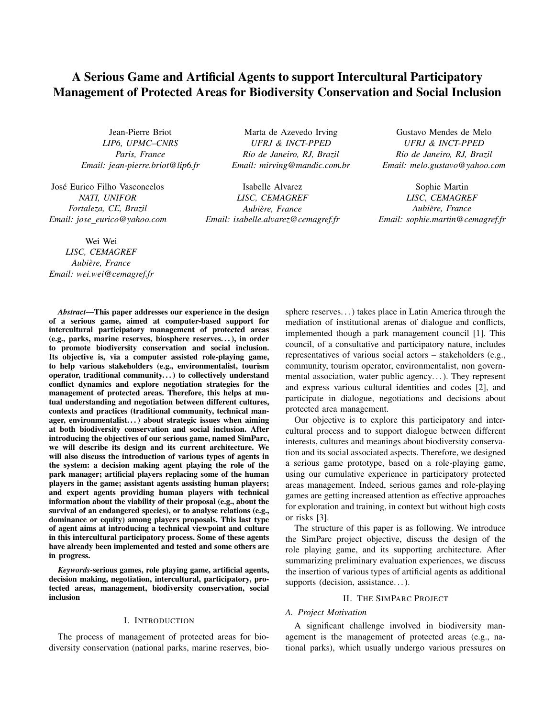# A Serious Game and Artificial Agents to support Intercultural Participatory Management of Protected Areas for Biodiversity Conservation and Social Inclusion

Jean-Pierre Briot *LIP6, UPMC–CNRS Paris, France Email: jean-pierre.briot@lip6.fr*

Jose Eurico Filho Vasconcelos ´ *NATI, UNIFOR Fortaleza, CE, Brazil Email: jose eurico@yahoo.com*

Marta de Azevedo Irving *UFRJ & INCT-PPED Rio de Janeiro, RJ, Brazil Email: mirving@mandic.com.br*

Isabelle Alvarez *LISC, CEMAGREF Aubiere, France ` Email: isabelle.alvarez@cemagref.fr*

Gustavo Mendes de Melo *UFRJ & INCT-PPED Rio de Janeiro, RJ, Brazil Email: melo.gustavo@yahoo.com*

Sophie Martin *LISC, CEMAGREF Aubiere, France ` Email: sophie.martin@cemagref.fr*

Wei Wei *LISC, CEMAGREF Aubiere, France ` Email: wei.wei@cemagref.fr*

*Abstract*—This paper addresses our experience in the design of a serious game, aimed at computer-based support for intercultural participatory management of protected areas (e.g., parks, marine reserves, biosphere reserves. . . ), in order to promote biodiversity conservation and social inclusion. Its objective is, via a computer assisted role-playing game, to help various stakeholders (e.g., environmentalist, tourism operator, traditional community. . . ) to collectively understand conflict dynamics and explore negotiation strategies for the management of protected areas. Therefore, this helps at mutual understanding and negotiation between different cultures, contexts and practices (traditional community, technical manager, environmentalist...) about strategic issues when aiming at both biodiversity conservation and social inclusion. After introducing the objectives of our serious game, named SimParc, we will describe its design and its current architecture. We will also discuss the introduction of various types of agents in the system: a decision making agent playing the role of the park manager; artificial players replacing some of the human players in the game; assistant agents assisting human players; and expert agents providing human players with technical information about the viability of their proposal (e.g., about the survival of an endangered species), or to analyse relations (e.g., dominance or equity) among players proposals. This last type of agent aims at introducing a technical viewpoint and culture in this intercultural participatory process. Some of these agents have already been implemented and tested and some others are in progress.

*Keywords*-serious games, role playing game, artificial agents, decision making, negotiation, intercultural, participatory, protected areas, management, biodiversity conservation, social inclusion

#### I. INTRODUCTION

The process of management of protected areas for biodiversity conservation (national parks, marine reserves, biosphere reserves...) takes place in Latin America through the mediation of institutional arenas of dialogue and conflicts, implemented though a park management council [1]. This council, of a consultative and participatory nature, includes representatives of various social actors – stakeholders (e.g., community, tourism operator, environmentalist, non governmental association, water public agency...). They represent and express various cultural identities and codes [2], and participate in dialogue, negotiations and decisions about protected area management.

Our objective is to explore this participatory and intercultural process and to support dialogue between different interests, cultures and meanings about biodiversity conservation and its social associated aspects. Therefore, we designed a serious game prototype, based on a role-playing game, using our cumulative experience in participatory protected areas management. Indeed, serious games and role-playing games are getting increased attention as effective approaches for exploration and training, in context but without high costs or risks [3].

The structure of this paper is as following. We introduce the SimParc project objective, discuss the design of the role playing game, and its supporting architecture. After summarizing preliminary evaluation experiences, we discuss the insertion of various types of artificial agents as additional supports (decision, assistance...).

#### II. THE SIMPARC PROJECT

# *A. Project Motivation*

A significant challenge involved in biodiversity management is the management of protected areas (e.g., national parks), which usually undergo various pressures on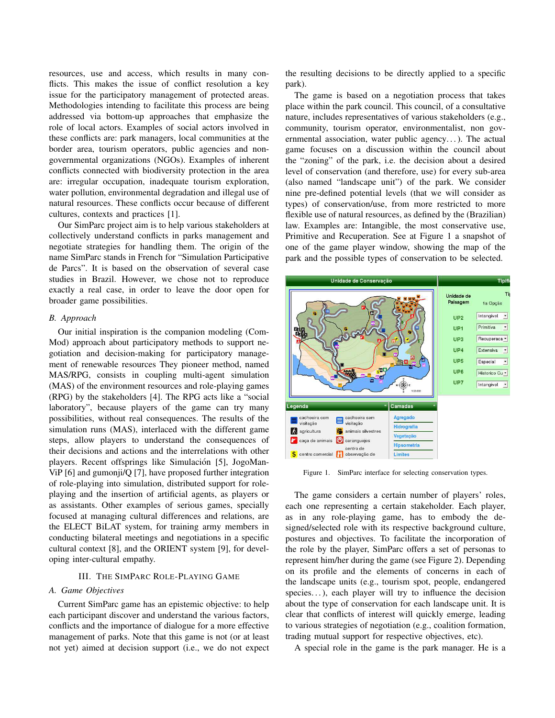resources, use and access, which results in many conflicts. This makes the issue of conflict resolution a key issue for the participatory management of protected areas. Methodologies intending to facilitate this process are being addressed via bottom-up approaches that emphasize the role of local actors. Examples of social actors involved in these conflicts are: park managers, local communities at the border area, tourism operators, public agencies and nongovernmental organizations (NGOs). Examples of inherent conflicts connected with biodiversity protection in the area are: irregular occupation, inadequate tourism exploration, water pollution, environmental degradation and illegal use of natural resources. These conflicts occur because of different cultures, contexts and practices [1].

Our SimParc project aim is to help various stakeholders at collectively understand conflicts in parks management and negotiate strategies for handling them. The origin of the name SimParc stands in French for "Simulation Participative de Parcs". It is based on the observation of several case studies in Brazil. However, we chose not to reproduce exactly a real case, in order to leave the door open for broader game possibilities.

## *B. Approach*

Our initial inspiration is the companion modeling (Com-Mod) approach about participatory methods to support negotiation and decision-making for participatory management of renewable resources They pioneer method, named MAS/RPG, consists in coupling multi-agent simulation (MAS) of the environment resources and role-playing games (RPG) by the stakeholders [4]. The RPG acts like a "social laboratory", because players of the game can try many possibilities, without real consequences. The results of the simulation runs (MAS), interlaced with the different game steps, allow players to understand the consequences of their decisions and actions and the interrelations with other players. Recent offsprings like Simulacion [5], JogoMan- ´ ViP [6] and gumonji/Q [7], have proposed further integration of role-playing into simulation, distributed support for roleplaying and the insertion of artificial agents, as players or as assistants. Other examples of serious games, specially focused at managing cultural differences and relations, are the ELECT BiLAT system, for training army members in conducting bilateral meetings and negotiations in a specific cultural context [8], and the ORIENT system [9], for developing inter-cultural empathy.

#### III. THE SIMPARC ROLE-PLAYING GAME

## *A. Game Objectives*

Current SimParc game has an epistemic objective: to help each participant discover and understand the various factors, conflicts and the importance of dialogue for a more effective management of parks. Note that this game is not (or at least not yet) aimed at decision support (i.e., we do not expect the resulting decisions to be directly applied to a specific park).

The game is based on a negotiation process that takes place within the park council. This council, of a consultative nature, includes representatives of various stakeholders (e.g., community, tourism operator, environmentalist, non governmental association, water public agency...). The actual game focuses on a discussion within the council about the "zoning" of the park, i.e. the decision about a desired level of conservation (and therefore, use) for every sub-area (also named "landscape unit") of the park. We consider nine pre-defined potential levels (that we will consider as types) of conservation/use, from more restricted to more flexible use of natural resources, as defined by the (Brazilian) law. Examples are: Intangible, the most conservative use, Primitive and Recuperation. See at Figure 1 a snapshot of one of the game player window, showing the map of the park and the possible types of conservation to be selected.



Figure 1. SimParc interface for selecting conservation types.

The game considers a certain number of players' roles, each one representing a certain stakeholder. Each player, as in any role-playing game, has to embody the designed/selected role with its respective background culture, postures and objectives. To facilitate the incorporation of the role by the player, SimParc offers a set of personas to represent him/her during the game (see Figure 2). Depending on its profile and the elements of concerns in each of the landscape units (e.g., tourism spot, people, endangered  $species...$ ), each player will try to influence the decision about the type of conservation for each landscape unit. It is clear that conflicts of interest will quickly emerge, leading to various strategies of negotiation (e.g., coalition formation, trading mutual support for respective objectives, etc).

A special role in the game is the park manager. He is a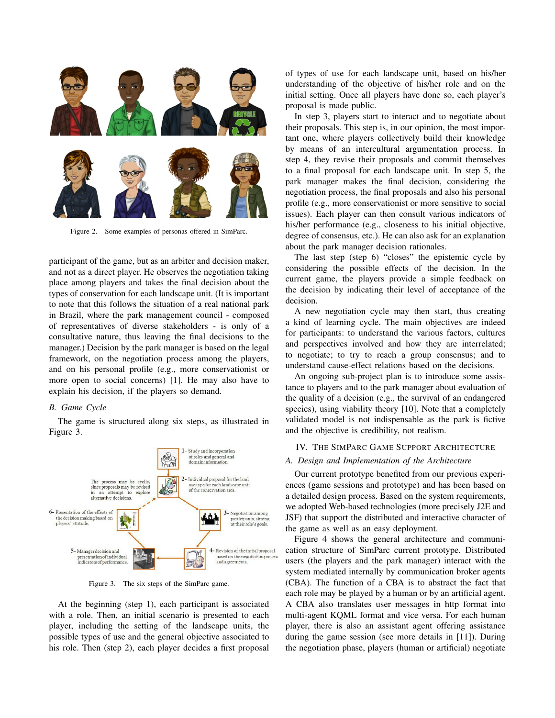

Figure 2. Some examples of personas offered in SimParc.

participant of the game, but as an arbiter and decision maker, and not as a direct player. He observes the negotiation taking place among players and takes the final decision about the types of conservation for each landscape unit. (It is important to note that this follows the situation of a real national park in Brazil, where the park management council - composed of representatives of diverse stakeholders - is only of a consultative nature, thus leaving the final decisions to the manager.) Decision by the park manager is based on the legal framework, on the negotiation process among the players, and on his personal profile (e.g., more conservationist or more open to social concerns) [1]. He may also have to explain his decision, if the players so demand.

### *B. Game Cycle*

The game is structured along six steps, as illustrated in Figure 3.



Figure 3. The six steps of the SimParc game.

At the beginning (step 1), each participant is associated with a role. Then, an initial scenario is presented to each player, including the setting of the landscape units, the possible types of use and the general objective associated to his role. Then (step 2), each player decides a first proposal of types of use for each landscape unit, based on his/her understanding of the objective of his/her role and on the initial setting. Once all players have done so, each player's proposal is made public.

In step 3, players start to interact and to negotiate about their proposals. This step is, in our opinion, the most important one, where players collectively build their knowledge by means of an intercultural argumentation process. In step 4, they revise their proposals and commit themselves to a final proposal for each landscape unit. In step 5, the park manager makes the final decision, considering the negotiation process, the final proposals and also his personal profile (e.g., more conservationist or more sensitive to social issues). Each player can then consult various indicators of his/her performance (e.g., closeness to his initial objective, degree of consensus, etc.). He can also ask for an explanation about the park manager decision rationales.

The last step (step 6) "closes" the epistemic cycle by considering the possible effects of the decision. In the current game, the players provide a simple feedback on the decision by indicating their level of acceptance of the decision.

A new negotiation cycle may then start, thus creating a kind of learning cycle. The main objectives are indeed for participants: to understand the various factors, cultures and perspectives involved and how they are interrelated; to negotiate; to try to reach a group consensus; and to understand cause-effect relations based on the decisions.

An ongoing sub-project plan is to introduce some assistance to players and to the park manager about evaluation of the quality of a decision (e.g., the survival of an endangered species), using viability theory [10]. Note that a completely validated model is not indispensable as the park is fictive and the objective is credibility, not realism.

#### IV. THE SIMPARC GAME SUPPORT ARCHITECTURE

#### *A. Design and Implementation of the Architecture*

Our current prototype benefited from our previous experiences (game sessions and prototype) and has been based on a detailed design process. Based on the system requirements, we adopted Web-based technologies (more precisely J2E and JSF) that support the distributed and interactive character of the game as well as an easy deployment.

Figure 4 shows the general architecture and communication structure of SimParc current prototype. Distributed users (the players and the park manager) interact with the system mediated internally by communication broker agents (CBA). The function of a CBA is to abstract the fact that each role may be played by a human or by an artificial agent. A CBA also translates user messages in http format into multi-agent KQML format and vice versa. For each human player, there is also an assistant agent offering assistance during the game session (see more details in [11]). During the negotiation phase, players (human or artificial) negotiate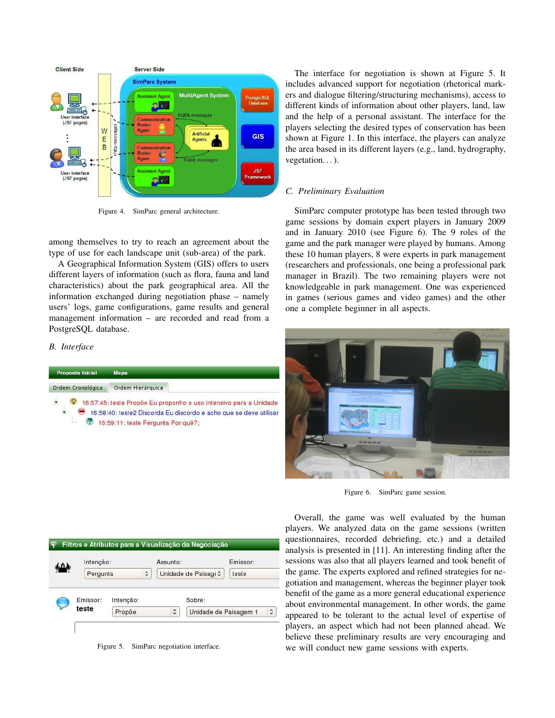

Figure 4. SimParc general architecture.

among themselves to try to reach an agreement about the type of use for each landscape unit (sub-area) of the park.

A Geographical Information System (GIS) offers to users different layers of information (such as flora, fauna and land characteristics) about the park geographical area. All the information exchanged during negotiation phase – namely users' logs, game configurations, game results and general management information – are recorded and read from a PostgreSQL database.

### *B. Interface*

| <b>Mapa</b>                                                                                                                                                                  |  |
|------------------------------------------------------------------------------------------------------------------------------------------------------------------------------|--|
| Ordem Hierárquica                                                                                                                                                            |  |
| 16:57:45: teste Propõe Eu proponho o uso intensivo para a Unidade<br>16:58:40: teste2 Discorda Eu discordo e acho que se deve utilisar<br>16:59:11: teste Pergunta Por quê?; |  |
|                                                                                                                                                                              |  |

Filtros e Atributos para a Visualização da Negociação Intenção: Assunto: Emissor:  $\ddot{\circ}$ Unidade de Paisage<sup>3</sup> Pergunta teste Emissor: Intenção: Sobre: teste Propõe  $\ddot{\circ}$ Unidade de Paisagem 1  $\ddot{\cdot}$ 

Figure 5. SimParc negotiation interface.

The interface for negotiation is shown at Figure 5. It includes advanced support for negotiation (rhetorical markers and dialogue filtering/structuring mechanisms), access to different kinds of information about other players, land, law and the help of a personal assistant. The interface for the players selecting the desired types of conservation has been shown at Figure 1. In this interface, the players can analyze the area based in its different layers (e.g., land, hydrography, vegetation. . . ).

## *C. Preliminary Evaluation*

SimParc computer prototype has been tested through two game sessions by domain expert players in January 2009 and in January 2010 (see Figure 6). The 9 roles of the game and the park manager were played by humans. Among these 10 human players, 8 were experts in park management (researchers and professionals, one being a professional park manager in Brazil). The two remaining players were not knowledgeable in park management. One was experienced in games (serious games and video games) and the other one a complete beginner in all aspects.



Figure 6. SimParc game session.

Overall, the game was well evaluated by the human players. We analyzed data on the game sessions (written questionnaires, recorded debriefing, etc.) and a detailed analysis is presented in [11]. An interesting finding after the sessions was also that all players learned and took benefit of the game. The experts explored and refined strategies for negotiation and management, whereas the beginner player took benefit of the game as a more general educational experience about environmental management. In other words, the game appeared to be tolerant to the actual level of expertise of players, an aspect which had not been planned ahead. We believe these preliminary results are very encouraging and we will conduct new game sessions with experts.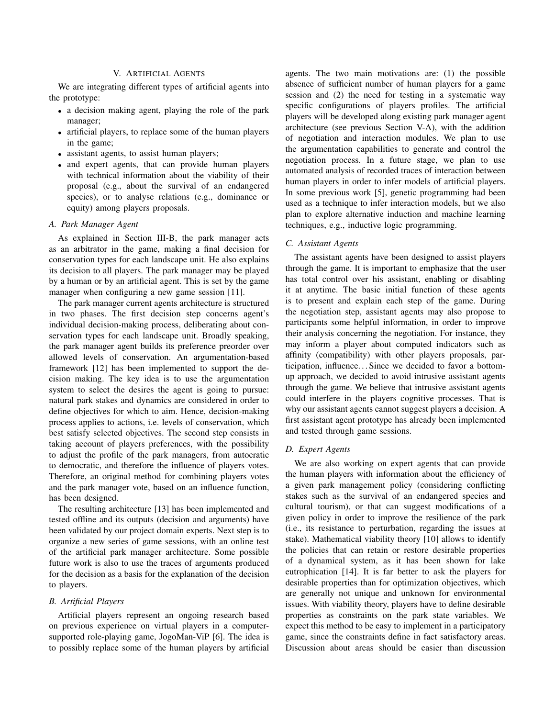# V. ARTIFICIAL AGENTS

We are integrating different types of artificial agents into the prototype:

- a decision making agent, playing the role of the park manager;
- artificial players, to replace some of the human players in the game;
- assistant agents, to assist human players;
- and expert agents, that can provide human players with technical information about the viability of their proposal (e.g., about the survival of an endangered species), or to analyse relations (e.g., dominance or equity) among players proposals.

# *A. Park Manager Agent*

As explained in Section III-B, the park manager acts as an arbitrator in the game, making a final decision for conservation types for each landscape unit. He also explains its decision to all players. The park manager may be played by a human or by an artificial agent. This is set by the game manager when configuring a new game session [11].

The park manager current agents architecture is structured in two phases. The first decision step concerns agent's individual decision-making process, deliberating about conservation types for each landscape unit. Broadly speaking, the park manager agent builds its preference preorder over allowed levels of conservation. An argumentation-based framework [12] has been implemented to support the decision making. The key idea is to use the argumentation system to select the desires the agent is going to pursue: natural park stakes and dynamics are considered in order to define objectives for which to aim. Hence, decision-making process applies to actions, i.e. levels of conservation, which best satisfy selected objectives. The second step consists in taking account of players preferences, with the possibility to adjust the profile of the park managers, from autocratic to democratic, and therefore the influence of players votes. Therefore, an original method for combining players votes and the park manager vote, based on an influence function, has been designed.

The resulting architecture [13] has been implemented and tested offline and its outputs (decision and arguments) have been validated by our project domain experts. Next step is to organize a new series of game sessions, with an online test of the artificial park manager architecture. Some possible future work is also to use the traces of arguments produced for the decision as a basis for the explanation of the decision to players.

## *B. Artificial Players*

Artificial players represent an ongoing research based on previous experience on virtual players in a computersupported role-playing game, JogoMan-ViP [6]. The idea is to possibly replace some of the human players by artificial agents. The two main motivations are: (1) the possible absence of sufficient number of human players for a game session and (2) the need for testing in a systematic way specific configurations of players profiles. The artificial players will be developed along existing park manager agent architecture (see previous Section V-A), with the addition of negotiation and interaction modules. We plan to use the argumentation capabilities to generate and control the negotiation process. In a future stage, we plan to use automated analysis of recorded traces of interaction between human players in order to infer models of artificial players. In some previous work [5], genetic programming had been used as a technique to infer interaction models, but we also plan to explore alternative induction and machine learning techniques, e.g., inductive logic programming.

## *C. Assistant Agents*

The assistant agents have been designed to assist players through the game. It is important to emphasize that the user has total control over his assistant, enabling or disabling it at anytime. The basic initial function of these agents is to present and explain each step of the game. During the negotiation step, assistant agents may also propose to participants some helpful information, in order to improve their analysis concerning the negotiation. For instance, they may inform a player about computed indicators such as affinity (compatibility) with other players proposals, participation, influence. . . Since we decided to favor a bottomup approach, we decided to avoid intrusive assistant agents through the game. We believe that intrusive assistant agents could interfere in the players cognitive processes. That is why our assistant agents cannot suggest players a decision. A first assistant agent prototype has already been implemented and tested through game sessions.

## *D. Expert Agents*

We are also working on expert agents that can provide the human players with information about the efficiency of a given park management policy (considering conflicting stakes such as the survival of an endangered species and cultural tourism), or that can suggest modifications of a given policy in order to improve the resilience of the park (i.e., its resistance to perturbation, regarding the issues at stake). Mathematical viability theory [10] allows to identify the policies that can retain or restore desirable properties of a dynamical system, as it has been shown for lake eutrophication [14]. It is far better to ask the players for desirable properties than for optimization objectives, which are generally not unique and unknown for environmental issues. With viability theory, players have to define desirable properties as constraints on the park state variables. We expect this method to be easy to implement in a participatory game, since the constraints define in fact satisfactory areas. Discussion about areas should be easier than discussion